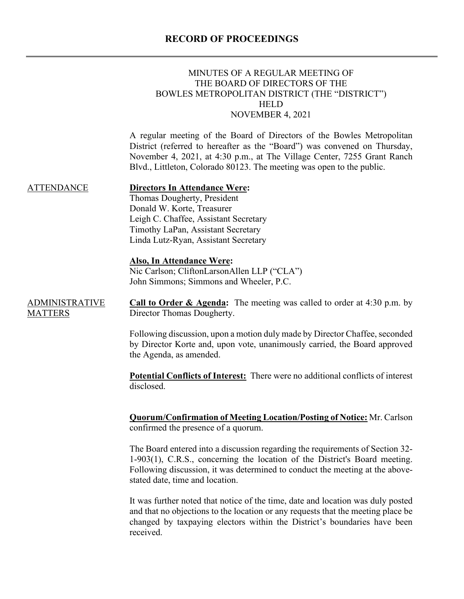## **RECORD OF PROCEEDINGS**

|                                         | MINUTES OF A REGULAR MEETING OF<br>THE BOARD OF DIRECTORS OF THE<br>BOWLES METROPOLITAN DISTRICT (THE "DISTRICT")<br><b>HELD</b><br>NOVEMBER 4, 2021                                                                                                                                                    |
|-----------------------------------------|---------------------------------------------------------------------------------------------------------------------------------------------------------------------------------------------------------------------------------------------------------------------------------------------------------|
|                                         | A regular meeting of the Board of Directors of the Bowles Metropolitan<br>District (referred to hereafter as the "Board") was convened on Thursday,<br>November 4, 2021, at 4:30 p.m., at The Village Center, 7255 Grant Ranch<br>Blvd., Littleton, Colorado 80123. The meeting was open to the public. |
| <b>ATTENDANCE</b>                       | <b>Directors In Attendance Were:</b><br>Thomas Dougherty, President<br>Donald W. Korte, Treasurer<br>Leigh C. Chaffee, Assistant Secretary<br>Timothy LaPan, Assistant Secretary<br>Linda Lutz-Ryan, Assistant Secretary                                                                                |
|                                         | <b>Also, In Attendance Were:</b><br>Nic Carlson; CliftonLarsonAllen LLP ("CLA")<br>John Simmons; Simmons and Wheeler, P.C.                                                                                                                                                                              |
| <b>ADMINISTRATIVE</b><br><b>MATTERS</b> | <b>Call to Order &amp; Agenda:</b> The meeting was called to order at $4:30$ p.m. by<br>Director Thomas Dougherty.                                                                                                                                                                                      |
|                                         | Following discussion, upon a motion duly made by Director Chaffee, seconded<br>by Director Korte and, upon vote, unanimously carried, the Board approved<br>the Agenda, as amended.                                                                                                                     |
|                                         | Potential Conflicts of Interest: There were no additional conflicts of interest<br>disclosed.                                                                                                                                                                                                           |
|                                         | <b>Quorum/Confirmation of Meeting Location/Posting of Notice:</b> Mr. Carlson<br>confirmed the presence of a quorum.                                                                                                                                                                                    |
|                                         | The Board entered into a discussion regarding the requirements of Section 32-<br>1-903(1), C.R.S., concerning the location of the District's Board meeting.<br>Following discussion, it was determined to conduct the meeting at the above-                                                             |

stated date, time and location.

It was further noted that notice of the time, date and location was duly posted and that no objections to the location or any requests that the meeting place be changed by taxpaying electors within the District's boundaries have been received.